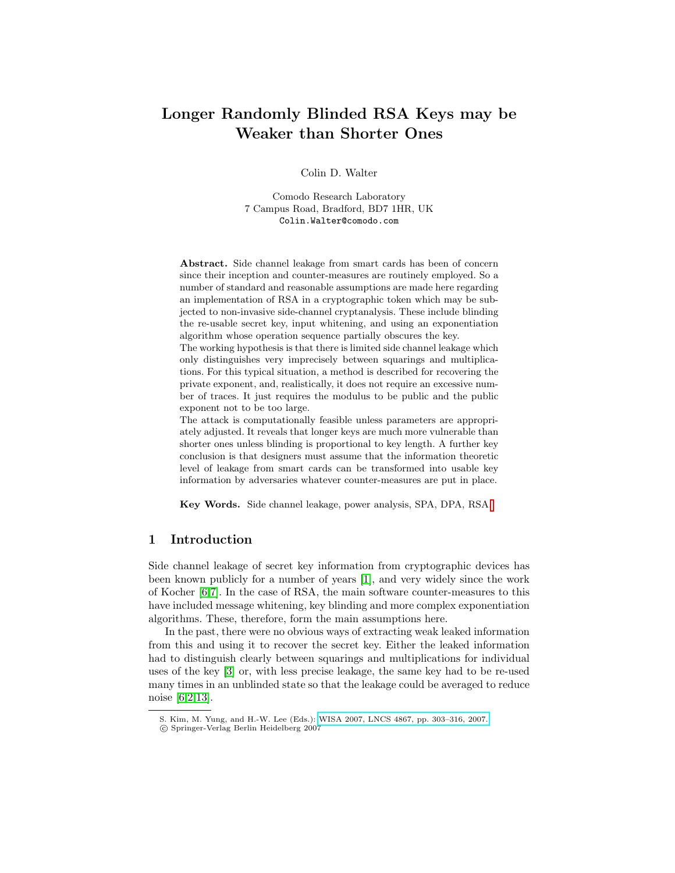# Longer Randomly Blinded RSA Keys may be Weaker than Shorter Ones

Colin D. Walter

Comodo Research Laboratory 7 Campus Road, Bradford, BD7 1HR, UK Colin.Walter@comodo.com

Abstract. Side channel leakage from smart cards has been of concern since their inception and counter-measures are routinely employed. So a number of standard and reasonable assumptions are made here regarding an implementation of RSA in a cryptographic token which may be subjected to non-invasive side-channel cryptanalysis. These include blinding the re-usable secret key, input whitening, and using an exponentiation algorithm whose operation sequence partially obscures the key.

The working hypothesis is that there is limited side channel leakage which only distinguishes very imprecisely between squarings and multiplications. For this typical situation, a method is described for recovering the private exponent, and, realistically, it does not require an excessive number of traces. It just requires the modulus to be public and the public exponent not to be too large.

The attack is computationally feasible unless parameters are appropriately adjusted. It reveals that longer keys are much more vulnerable than shorter ones unless blinding is proportional to key length. A further key conclusion is that designers must assume that the information theoretic level of leakage from smart cards can be transformed into usable key information by adversaries whatever counter-measures are put in place.

Key Words. Side channel leakage, power analysis, SPA, DPA, RSA[.](#page-0-0)

# 1 Introduction

Side channel leakage of secret key information from cryptographic devices has been known publicly for a number of years [\[1\]](#page-13-0), and very widely since the work of Kocher [\[6,](#page-13-1)[7\]](#page-13-2). In the case of RSA, the main software counter-measures to this have included message whitening, key blinding and more complex exponentiation algorithms. These, therefore, form the main assumptions here.

In the past, there were no obvious ways of extracting weak leaked information from this and using it to recover the secret key. Either the leaked information had to distinguish clearly between squarings and multiplications for individual uses of the key [\[3\]](#page-13-3) or, with less precise leakage, the same key had to be re-used many times in an unblinded state so that the leakage could be averaged to reduce noise [\[6](#page-13-1)[,2](#page-13-4)[,13\]](#page-13-5).

<span id="page-0-0"></span>S. Kim, M. Yung, and H.-W. Lee (Eds.): [WISA 2007, LNCS 4867, pp. 303–316, 2007.](http://www.springerlink.com/index/47p658mv75645880.pdf)

c Springer-Verlag Berlin Heidelberg 2007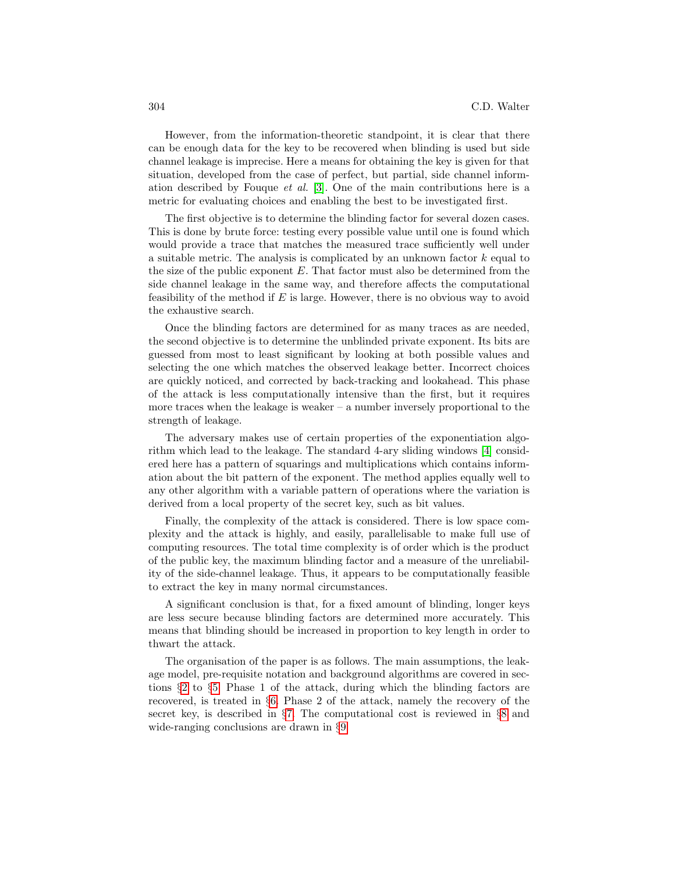However, from the information-theoretic standpoint, it is clear that there can be enough data for the key to be recovered when blinding is used but side channel leakage is imprecise. Here a means for obtaining the key is given for that situation, developed from the case of perfect, but partial, side channel information described by Fouque et al. [\[3\]](#page-13-3). One of the main contributions here is a metric for evaluating choices and enabling the best to be investigated first.

The first objective is to determine the blinding factor for several dozen cases. This is done by brute force: testing every possible value until one is found which would provide a trace that matches the measured trace sufficiently well under a suitable metric. The analysis is complicated by an unknown factor  $k$  equal to the size of the public exponent  $E$ . That factor must also be determined from the side channel leakage in the same way, and therefore affects the computational feasibility of the method if  $E$  is large. However, there is no obvious way to avoid the exhaustive search.

Once the blinding factors are determined for as many traces as are needed, the second objective is to determine the unblinded private exponent. Its bits are guessed from most to least significant by looking at both possible values and selecting the one which matches the observed leakage better. Incorrect choices are quickly noticed, and corrected by back-tracking and lookahead. This phase of the attack is less computationally intensive than the first, but it requires more traces when the leakage is weaker  $-$  a number inversely proportional to the strength of leakage.

The adversary makes use of certain properties of the exponentiation algorithm which lead to the leakage. The standard 4-ary sliding windows [\[4\]](#page-13-6) considered here has a pattern of squarings and multiplications which contains information about the bit pattern of the exponent. The method applies equally well to any other algorithm with a variable pattern of operations where the variation is derived from a local property of the secret key, such as bit values.

Finally, the complexity of the attack is considered. There is low space complexity and the attack is highly, and easily, parallelisable to make full use of computing resources. The total time complexity is of order which is the product of the public key, the maximum blinding factor and a measure of the unreliability of the side-channel leakage. Thus, it appears to be computationally feasible to extract the key in many normal circumstances.

A significant conclusion is that, for a fixed amount of blinding, longer keys are less secure because blinding factors are determined more accurately. This means that blinding should be increased in proportion to key length in order to thwart the attack.

The organisation of the paper is as follows. The main assumptions, the leakage model, pre-requisite notation and background algorithms are covered in sections §[2](#page-2-0) to §[5.](#page-4-0) Phase 1 of the attack, during which the blinding factors are recovered, is treated in §[6.](#page-6-0) Phase 2 of the attack, namely the recovery of the secret key, is described in §[7.](#page-9-0) The computational cost is reviewed in §[8](#page-12-0) and wide-ranging conclusions are drawn in §[9.](#page-12-1)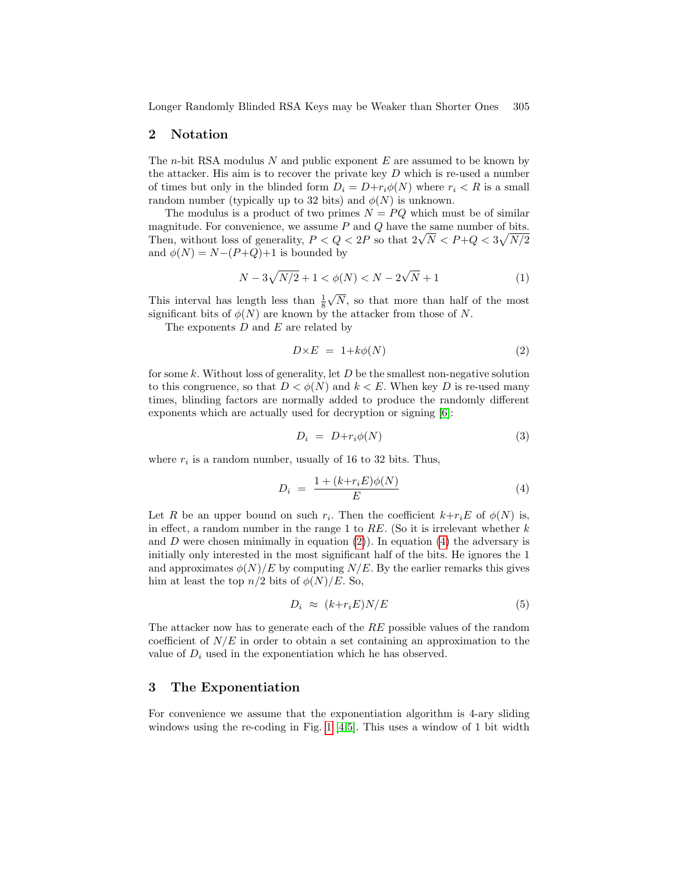Longer Randomly Blinded RSA Keys may be Weaker than Shorter Ones 305

## <span id="page-2-0"></span>2 Notation

The *n*-bit RSA modulus N and public exponent E are assumed to be known by the attacker. His aim is to recover the private key  $D$  which is re-used a number of times but only in the blinded form  $D_i = D + r_i \phi(N)$  where  $r_i \langle R \rangle$  is a small random number (typically up to 32 bits) and  $\phi(N)$  is unknown.

The modulus is a product of two primes  $N = PQ$  which must be of similar magnitude. For convenience, we assume  $P$  and  $Q$  have the same number of bits. magnitude. For convenience, we assume P and Q have the same number of bits.<br>Then, without loss of generality,  $P < Q < 2P$  so that  $2\sqrt{N} < P+Q < 3\sqrt{N}/2$ and  $\phi(N) = N-(P+Q)+1$  is bounded by

<span id="page-2-4"></span>
$$
N - 3\sqrt{N/2} + 1 < \phi(N) < N - 2\sqrt{N} + 1 \tag{1}
$$

This interval has length less than  $\frac{1}{8}$ √ N, so that more than half of the most significant bits of  $\phi(N)$  are known by the attacker from those of N.

The exponents  $D$  and  $E$  are related by

<span id="page-2-1"></span>
$$
D \times E = 1 + k\phi(N) \tag{2}
$$

for some  $k$ . Without loss of generality, let  $D$  be the smallest non-negative solution to this congruence, so that  $D < \phi(N)$  and  $k < E$ . When key D is re-used many times, blinding factors are normally added to produce the randomly different exponents which are actually used for decryption or signing [\[6\]](#page-13-1):

$$
D_i = D + r_i \phi(N) \tag{3}
$$

where  $r_i$  is a random number, usually of 16 to 32 bits. Thus,

<span id="page-2-2"></span>
$$
D_i = \frac{1 + (k + r_i E)\phi(N)}{E} \tag{4}
$$

Let R be an upper bound on such  $r_i$ . Then the coefficient  $k+r_iE$  of  $\phi(N)$  is, in effect, a random number in the range 1 to  $RE$ . (So it is irrelevant whether  $k$ and  $D$  were chosen minimally in equation [\(2\)](#page-2-1)). In equation [\(4\)](#page-2-2) the adversary is initially only interested in the most significant half of the bits. He ignores the 1 and approximates  $\phi(N)/E$  by computing  $N/E$ . By the earlier remarks this gives him at least the top  $n/2$  bits of  $\phi(N)/E$ . So,

<span id="page-2-3"></span>
$$
D_i \approx (k + r_i E) N / E \tag{5}
$$

The attacker now has to generate each of the RE possible values of the random coefficient of  $N/E$  in order to obtain a set containing an approximation to the value of  $D_i$  used in the exponentiation which he has observed.

## 3 The Exponentiation

For convenience we assume that the exponentiation algorithm is 4-ary sliding windows using the re-coding in Fig. [1](#page-3-0) [\[4](#page-13-6)[,5\]](#page-13-7). This uses a window of 1 bit width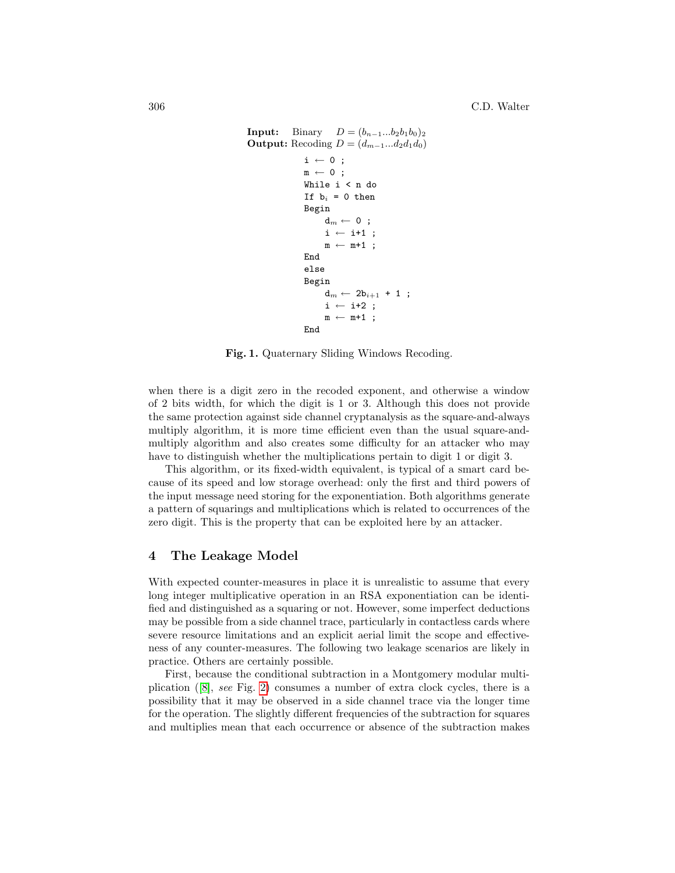```
Input: Binary D = (b_{n-1}...b_2b_1b_0)_2Output: Recoding D = (d_{m-1}...d_2d_1d_0)i \leftarrow 0;
               m \leftarrow 0;
               While i < n do
               If b_i = 0 then
               Begin
                     d_m \leftarrow 0;
                     i \leftarrow i+1 ;
                     m \leftarrow m+1 :
               End
               else
               Begin
                     d_m \leftarrow 2b_{i+1} + 1;
                     i \leftarrow i+2;
                     m \leftarrow m+1;
               End
```
<span id="page-3-0"></span>Fig. 1. Quaternary Sliding Windows Recoding.

when there is a digit zero in the recoded exponent, and otherwise a window of 2 bits width, for which the digit is 1 or 3. Although this does not provide the same protection against side channel cryptanalysis as the square-and-always multiply algorithm, it is more time efficient even than the usual square-andmultiply algorithm and also creates some difficulty for an attacker who may have to distinguish whether the multiplications pertain to digit 1 or digit 3.

This algorithm, or its fixed-width equivalent, is typical of a smart card because of its speed and low storage overhead: only the first and third powers of the input message need storing for the exponentiation. Both algorithms generate a pattern of squarings and multiplications which is related to occurrences of the zero digit. This is the property that can be exploited here by an attacker.

## <span id="page-3-1"></span>4 The Leakage Model

With expected counter-measures in place it is unrealistic to assume that every long integer multiplicative operation in an RSA exponentiation can be identified and distinguished as a squaring or not. However, some imperfect deductions may be possible from a side channel trace, particularly in contactless cards where severe resource limitations and an explicit aerial limit the scope and effectiveness of any counter-measures. The following two leakage scenarios are likely in practice. Others are certainly possible.

First, because the conditional subtraction in a Montgomery modular multiplication ([\[8\]](#page-13-8), see Fig. [2\)](#page-4-1) consumes a number of extra clock cycles, there is a possibility that it may be observed in a side channel trace via the longer time for the operation. The slightly different frequencies of the subtraction for squares and multiplies mean that each occurrence or absence of the subtraction makes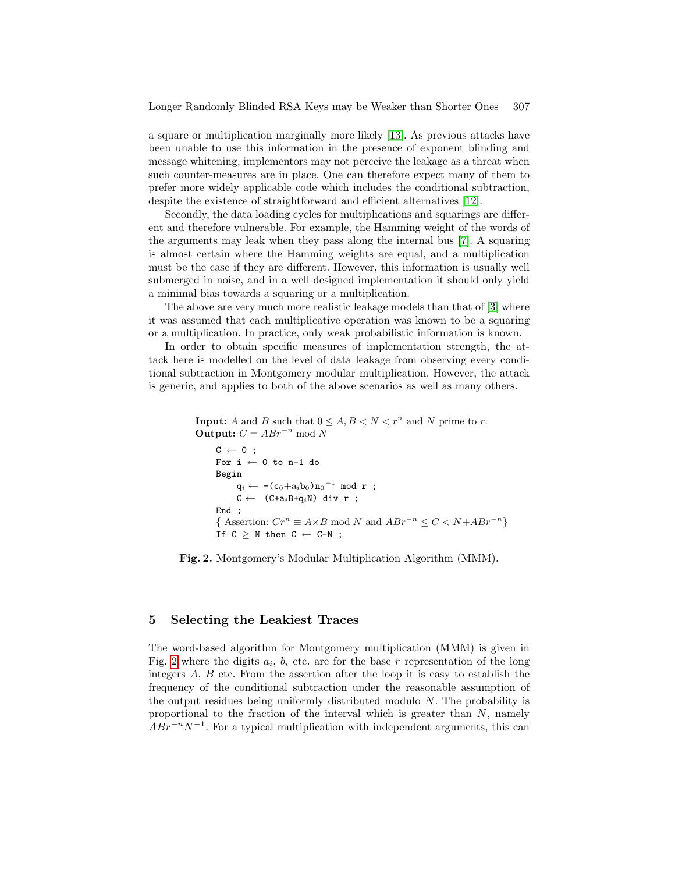a square or multiplication marginally more likely [\[13\]](#page-13-5). As previous attacks have been unable to use this information in the presence of exponent blinding and message whitening, implementors may not perceive the leakage as a threat when such counter-measures are in place. One can therefore expect many of them to prefer more widely applicable code which includes the conditional subtraction, despite the existence of straightforward and efficient alternatives [\[12\]](#page-13-9).

Secondly, the data loading cycles for multiplications and squarings are different and therefore vulnerable. For example, the Hamming weight of the words of the arguments may leak when they pass along the internal bus [\[7\]](#page-13-2). A squaring is almost certain where the Hamming weights are equal, and a multiplication must be the case if they are different. However, this information is usually well submerged in noise, and in a well designed implementation it should only yield a minimal bias towards a squaring or a multiplication.

The above are very much more realistic leakage models than that of [\[3\]](#page-13-3) where it was assumed that each multiplicative operation was known to be a squaring or a multiplication. In practice, only weak probabilistic information is known.

In order to obtain specific measures of implementation strength, the attack here is modelled on the level of data leakage from observing every conditional subtraction in Montgomery modular multiplication. However, the attack is generic, and applies to both of the above scenarios as well as many others.

```
Input: A and B such that 0 \leq A, B < N < r^n and N prime to r.
Output: C = ABr^{-n} \mod NC \leftarrow 0;
     For i \leftarrow 0 to n-1 do
     Begin
            \mathrm{q}_i \leftarrow \, -(c_0 + \mathrm{a}_ib_0)\mathrm{n_0}^{-1} mod r ;
            C \leftarrow (C+a<sub>i</sub>B+q<sub>i</sub>N) div r;
     End ;
      { Assertion: Cr^n \equiv A \times B \mod N and ABr^{-n} \leq C < N + ABr^{-n}}
      If C \geq N then C \leftarrow C-N;
```
<span id="page-4-1"></span>Fig. 2. Montgomery's Modular Multiplication Algorithm (MMM).

## <span id="page-4-0"></span>5 Selecting the Leakiest Traces

The word-based algorithm for Montgomery multiplication (MMM) is given in Fig. [2](#page-4-1) where the digits  $a_i$ ,  $b_i$  etc. are for the base r representation of the long integers A, B etc. From the assertion after the loop it is easy to establish the frequency of the conditional subtraction under the reasonable assumption of the output residues being uniformly distributed modulo  $N$ . The probability is proportional to the fraction of the interval which is greater than  $N$ , namely  $ABr^{-n}N^{-1}$ . For a typical multiplication with independent arguments, this can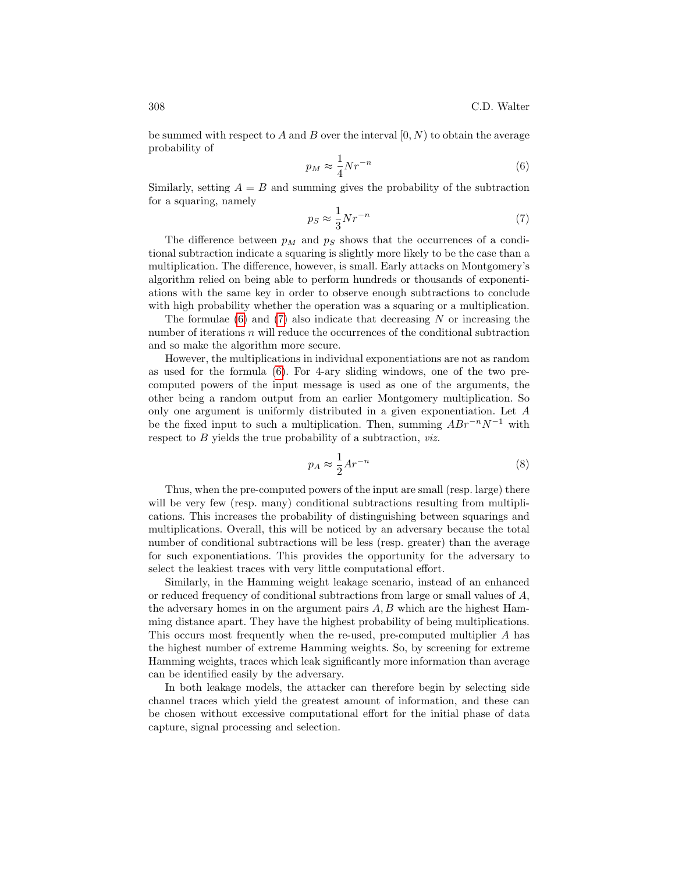be summed with respect to A and B over the interval  $[0, N)$  to obtain the average probability of

<span id="page-5-0"></span>
$$
p_M \approx \frac{1}{4} N r^{-n} \tag{6}
$$

Similarly, setting  $A = B$  and summing gives the probability of the subtraction for a squaring, namely

<span id="page-5-1"></span>
$$
p_S \approx \frac{1}{3} N r^{-n} \tag{7}
$$

The difference between  $p_M$  and  $p_S$  shows that the occurrences of a conditional subtraction indicate a squaring is slightly more likely to be the case than a multiplication. The difference, however, is small. Early attacks on Montgomery's algorithm relied on being able to perform hundreds or thousands of exponentiations with the same key in order to observe enough subtractions to conclude with high probability whether the operation was a squaring or a multiplication.

The formulae  $(6)$  and  $(7)$  also indicate that decreasing N or increasing the number of iterations  $n$  will reduce the occurrences of the conditional subtraction and so make the algorithm more secure.

However, the multiplications in individual exponentiations are not as random as used for the formula [\(6\)](#page-5-0). For 4-ary sliding windows, one of the two precomputed powers of the input message is used as one of the arguments, the other being a random output from an earlier Montgomery multiplication. So only one argument is uniformly distributed in a given exponentiation. Let A be the fixed input to such a multiplication. Then, summing  $ABr^{-n}N^{-1}$  with respect to B yields the true probability of a subtraction, *viz.* 

$$
p_A \approx \frac{1}{2} A r^{-n} \tag{8}
$$

Thus, when the pre-computed powers of the input are small (resp. large) there will be very few (resp. many) conditional subtractions resulting from multiplications. This increases the probability of distinguishing between squarings and multiplications. Overall, this will be noticed by an adversary because the total number of conditional subtractions will be less (resp. greater) than the average for such exponentiations. This provides the opportunity for the adversary to select the leakiest traces with very little computational effort.

Similarly, in the Hamming weight leakage scenario, instead of an enhanced or reduced frequency of conditional subtractions from large or small values of  $A$ , the adversary homes in on the argument pairs  $A, B$  which are the highest Hamming distance apart. They have the highest probability of being multiplications. This occurs most frequently when the re-used, pre-computed multiplier A has the highest number of extreme Hamming weights. So, by screening for extreme Hamming weights, traces which leak significantly more information than average can be identified easily by the adversary.

In both leakage models, the attacker can therefore begin by selecting side channel traces which yield the greatest amount of information, and these can be chosen without excessive computational effort for the initial phase of data capture, signal processing and selection.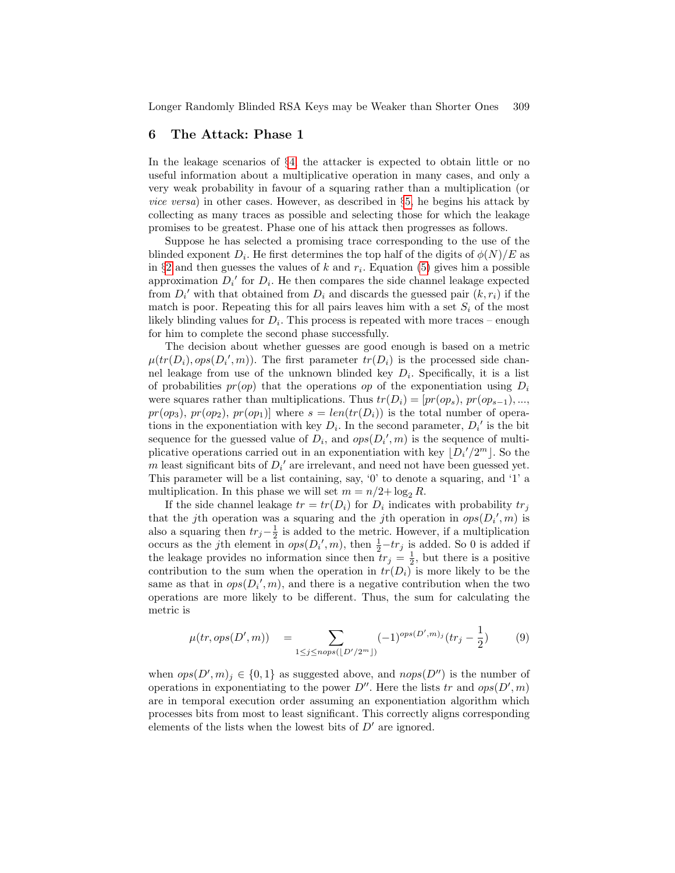Longer Randomly Blinded RSA Keys may be Weaker than Shorter Ones 309

## <span id="page-6-0"></span>6 The Attack: Phase 1

In the leakage scenarios of §[4,](#page-3-1) the attacker is expected to obtain little or no useful information about a multiplicative operation in many cases, and only a very weak probability in favour of a squaring rather than a multiplication (or vice versa) in other cases. However, as described in §[5,](#page-4-0) he begins his attack by collecting as many traces as possible and selecting those for which the leakage promises to be greatest. Phase one of his attack then progresses as follows.

Suppose he has selected a promising trace corresponding to the use of the blinded exponent  $D_i$ . He first determines the top half of the digits of  $\phi(N)/E$  as in §[2](#page-2-0) and then guesses the values of k and  $r_i$ . Equation [\(5\)](#page-2-3) gives him a possible approximation  $D_i'$  for  $D_i$ . He then compares the side channel leakage expected from  $D_i'$  with that obtained from  $D_i$  and discards the guessed pair  $(k, r_i)$  if the match is poor. Repeating this for all pairs leaves him with a set  $S_i$  of the most likely blinding values for  $D_i$ . This process is repeated with more traces – enough for him to complete the second phase successfully.

The decision about whether guesses are good enough is based on a metric  $\mu(tr(D_i),ops(D_i',m))$ . The first parameter  $tr(D_i)$  is the processed side channel leakage from use of the unknown blinded key  $D_i$ . Specifically, it is a list of probabilities  $pr(op)$  that the operations op of the exponentiation using  $D_i$ were squares rather than multiplications. Thus  $tr(D_i) = [pr(op_s), pr(op_{s-1}), ...,$  $pr(op_3)$ ,  $pr(op_2)$ ,  $pr(op_1)$ ] where  $s = len(tr(D_i))$  is the total number of operations in the exponentiation with key  $D_i$ . In the second parameter,  $D_i'$  is the bit sequence for the guessed value of  $D_i$ , and  $ops(D_i', m)$  is the sequence of multiplicative operations carried out in an exponentiation with key  $[D_i'/2^m]$ . So the m least significant bits of  $D_i'$  are irrelevant, and need not have been guessed yet. This parameter will be a list containing, say, '0' to denote a squaring, and '1' a multiplication. In this phase we will set  $m = n/2 + \log_2 R$ .

If the side channel leakage  $tr = tr(D_i)$  for  $D_i$  indicates with probability  $tr_j$ that the jth operation was a squaring and the jth operation in  $ops(D_i', m)$  is also a squaring then  $tr_j - \frac{1}{2}$  is added to the metric. However, if a multiplication occurs as the jth element in  $ops(D_i', m)$ , then  $\frac{1}{2} - tr_j$  is added. So 0 is added if the leakage provides no information since then  $tr_j = \frac{1}{2}$ , but there is a positive contribution to the sum when the operation in  $tr(D_i)$  is more likely to be the same as that in  $ops(D_i', m)$ , and there is a negative contribution when the two operations are more likely to be different. Thus, the sum for calculating the metric is

$$
\mu(tr, ops(D', m)) = \sum_{1 \le j \le nops(\lfloor D'/2^m \rfloor)} (-1)^{ops(D', m)_j} (tr_j - \frac{1}{2}) \tag{9}
$$

when  $ops(D', m)_j \in \{0, 1\}$  as suggested above, and  $nops(D'')$  is the number of operations in exponentiating to the power  $D''$ . Here the lists tr and  $ops(D', m)$ are in temporal execution order assuming an exponentiation algorithm which processes bits from most to least significant. This correctly aligns corresponding elements of the lists when the lowest bits of  $D'$  are ignored.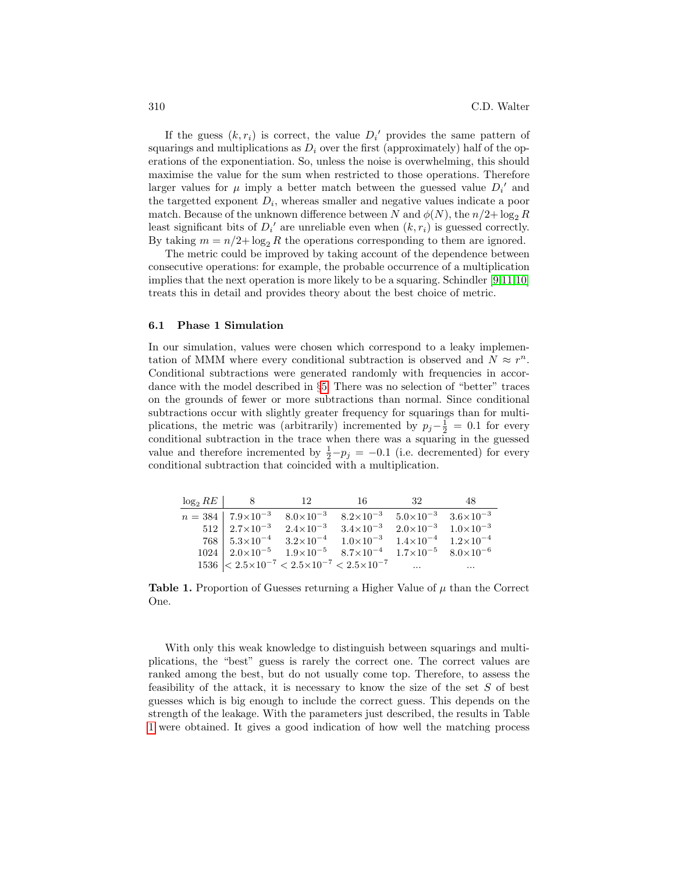If the guess  $(k, r_i)$  is correct, the value  $D_i'$  provides the same pattern of squarings and multiplications as  $D_i$  over the first (approximately) half of the operations of the exponentiation. So, unless the noise is overwhelming, this should maximise the value for the sum when restricted to those operations. Therefore larger values for  $\mu$  imply a better match between the guessed value  $D_i'$  and the targetted exponent  $D_i$ , whereas smaller and negative values indicate a poor match. Because of the unknown difference between N and  $\phi(N)$ , the  $n/2 + \log_2 R$ least significant bits of  $D_i'$  are unreliable even when  $(k, r_i)$  is guessed correctly. By taking  $m = n/2 + \log_2 R$  the operations corresponding to them are ignored.

The metric could be improved by taking account of the dependence between consecutive operations: for example, the probable occurrence of a multiplication implies that the next operation is more likely to be a squaring. Schindler [\[9,](#page-13-10)[11,](#page-13-11)[10\]](#page-13-12) treats this in detail and provides theory about the best choice of metric.

#### 6.1 Phase 1 Simulation

In our simulation, values were chosen which correspond to a leaky implementation of MMM where every conditional subtraction is observed and  $N \approx r^n$ . Conditional subtractions were generated randomly with frequencies in accordance with the model described in §[5.](#page-4-0) There was no selection of "better" traces on the grounds of fewer or more subtractions than normal. Since conditional subtractions occur with slightly greater frequency for squarings than for multiplications, the metric was (arbitrarily) incremented by  $p_j - \frac{1}{2} = 0.1$  for every conditional subtraction in the trace when there was a squaring in the guessed value and therefore incremented by  $\frac{1}{2} - p_j = -0.1$  (i.e. decremented) for every conditional subtraction that coincided with a multiplication.

| $\log_2 RE$ | - 12 | -16                                                                                                                                        | -32-     | 48 |
|-------------|------|--------------------------------------------------------------------------------------------------------------------------------------------|----------|----|
|             |      | $n = 384$   $7.9 \times 10^{-3}$ $8.0 \times 10^{-3}$ $8.2 \times 10^{-3}$ $5.0 \times 10^{-3}$ $3.6 \times 10^{-3}$                       |          |    |
|             |      | $512 \begin{array}{ l} 2.7 \times 10^{-3} \end{array}$ $2.4 \times 10^{-3}$ $3.4 \times 10^{-3}$ $2.0 \times 10^{-3}$ $1.0 \times 10^{-3}$ |          |    |
|             |      | 768 $\Big  5.3 \times 10^{-4} \quad 3.2 \times 10^{-4} \quad 1.0 \times 10^{-3} \quad 1.4 \times 10^{-4} \quad 1.2 \times 10^{-4}$         |          |    |
|             |      | $1024 \mid 2.0 \times 10^{-5}$ $1.9 \times 10^{-5}$ $8.7 \times 10^{-4}$ $1.7 \times 10^{-5}$ $8.0 \times 10^{-6}$                         |          |    |
|             |      | $1536 \approx 2.5 \times 10^{-7} < 2.5 \times 10^{-7} < 2.5 \times 10^{-7}$                                                                | $\cdots$ |    |

<span id="page-7-0"></span>**Table 1.** Proportion of Guesses returning a Higher Value of  $\mu$  than the Correct One.

With only this weak knowledge to distinguish between squarings and multiplications, the "best" guess is rarely the correct one. The correct values are ranked among the best, but do not usually come top. Therefore, to assess the feasibility of the attack, it is necessary to know the size of the set  $S$  of best guesses which is big enough to include the correct guess. This depends on the strength of the leakage. With the parameters just described, the results in Table [1](#page-7-0) were obtained. It gives a good indication of how well the matching process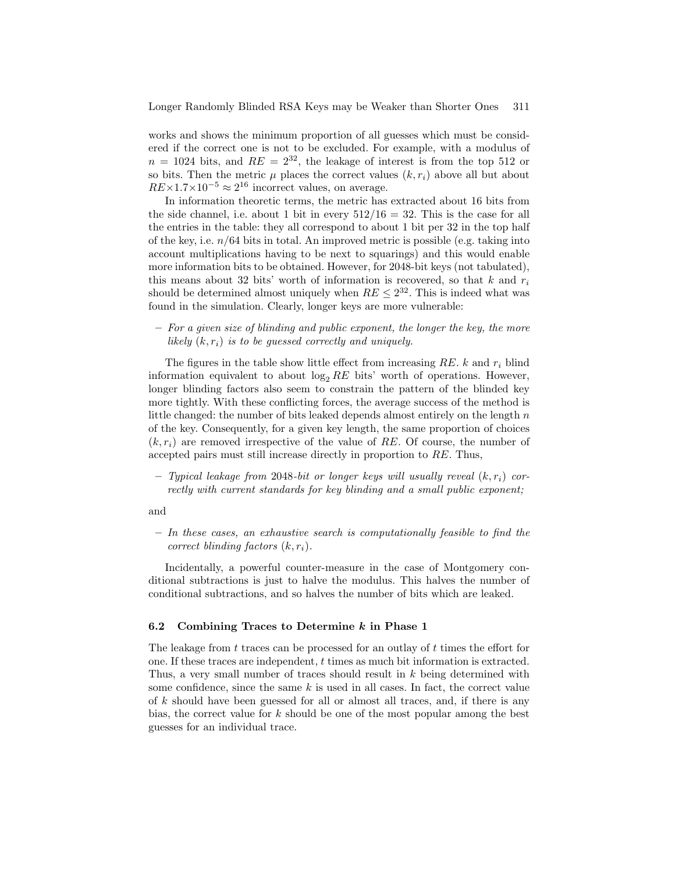works and shows the minimum proportion of all guesses which must be considered if the correct one is not to be excluded. For example, with a modulus of  $n = 1024$  bits, and  $RE = 2^{32}$ , the leakage of interest is from the top 512 or so bits. Then the metric  $\mu$  places the correct values  $(k, r_i)$  above all but about  $RE \times 1.7 \times 10^{-5} \approx 2^{16}$  incorrect values, on average.

In information theoretic terms, the metric has extracted about 16 bits from the side channel, i.e. about 1 bit in every  $512/16 = 32$ . This is the case for all the entries in the table: they all correspond to about 1 bit per 32 in the top half of the key, i.e.  $n/64$  bits in total. An improved metric is possible (e.g. taking into account multiplications having to be next to squarings) and this would enable more information bits to be obtained. However, for 2048-bit keys (not tabulated), this means about 32 bits' worth of information is recovered, so that k and  $r_i$ should be determined almost uniquely when  $RE \leq 2^{32}$ . This is indeed what was found in the simulation. Clearly, longer keys are more vulnerable:

– For a given size of blinding and public exponent, the longer the key, the more likely  $(k, r_i)$  is to be quessed correctly and uniquely.

The figures in the table show little effect from increasing  $RE. k$  and  $r_i$  blind information equivalent to about  $\log_2 RE$  bits' worth of operations. However, longer blinding factors also seem to constrain the pattern of the blinded key more tightly. With these conflicting forces, the average success of the method is little changed: the number of bits leaked depends almost entirely on the length  $n$ of the key. Consequently, for a given key length, the same proportion of choices  $(k, r_i)$  are removed irrespective of the value of RE. Of course, the number of accepted pairs must still increase directly in proportion to RE. Thus,

 $-$  Typical leakage from 2048-bit or longer keys will usually reveal  $(k, r_i)$  correctly with current standards for key blinding and a small public exponent;

and

– In these cases, an exhaustive search is computationally feasible to find the correct blinding factors  $(k, r_i)$ .

Incidentally, a powerful counter-measure in the case of Montgomery conditional subtractions is just to halve the modulus. This halves the number of conditional subtractions, and so halves the number of bits which are leaked.

#### 6.2 Combining Traces to Determine k in Phase 1

The leakage from  $t$  traces can be processed for an outlay of  $t$  times the effort for one. If these traces are independent, t times as much bit information is extracted. Thus, a very small number of traces should result in k being determined with some confidence, since the same  $k$  is used in all cases. In fact, the correct value of k should have been guessed for all or almost all traces, and, if there is any bias, the correct value for k should be one of the most popular among the best guesses for an individual trace.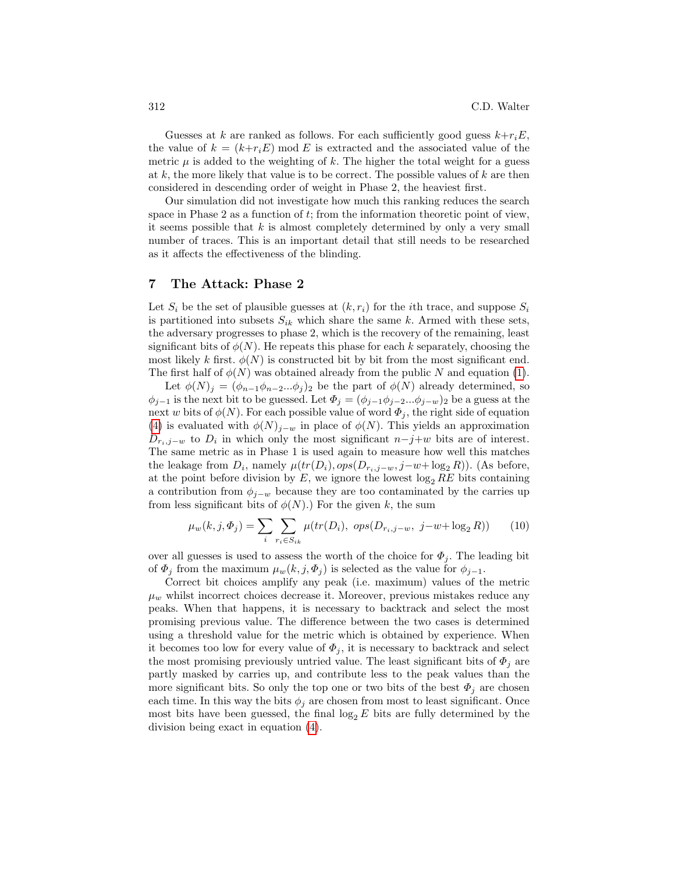Guesses at k are ranked as follows. For each sufficiently good guess  $k+r_iE$ , the value of  $k = (k+r_iE) \mod E$  is extracted and the associated value of the metric  $\mu$  is added to the weighting of k. The higher the total weight for a guess at k, the more likely that value is to be correct. The possible values of  $k$  are then considered in descending order of weight in Phase 2, the heaviest first.

Our simulation did not investigate how much this ranking reduces the search space in Phase  $2$  as a function of  $t$ ; from the information theoretic point of view, it seems possible that  $k$  is almost completely determined by only a very small number of traces. This is an important detail that still needs to be researched as it affects the effectiveness of the blinding.

#### <span id="page-9-0"></span>7 The Attack: Phase 2

Let  $S_i$  be the set of plausible guesses at  $(k, r_i)$  for the *i*th trace, and suppose  $S_i$ is partitioned into subsets  $S_{ik}$  which share the same k. Armed with these sets, the adversary progresses to phase 2, which is the recovery of the remaining, least significant bits of  $\phi(N)$ . He repeats this phase for each k separately, choosing the most likely k first.  $\phi(N)$  is constructed bit by bit from the most significant end. The first half of  $\phi(N)$  was obtained already from the public N and equation [\(1\)](#page-2-4).

Let  $\phi(N)_i = (\phi_{n-1}\phi_{n-2}...\phi_i)_2$  be the part of  $\phi(N)$  already determined, so  $\phi_{j-1}$  is the next bit to be guessed. Let  $\Phi_j = (\phi_{j-1}\phi_{j-2}...\phi_{j-w})_2$  be a guess at the next w bits of  $\phi(N)$ . For each possible value of word  $\Phi_j$ , the right side of equation [\(4\)](#page-2-2) is evaluated with  $\phi(N)_{j-w}$  in place of  $\phi(N)$ . This yields an approximation  $D_{r_i,j-w}$  to  $D_i$  in which only the most significant  $n-j+w$  bits are of interest. The same metric as in Phase 1 is used again to measure how well this matches the leakage from  $D_i$ , namely  $\mu(tr(D_i),ops(D_{r_i,j-w}, j-w+\log_2 R))$ . (As before, at the point before division by  $E$ , we ignore the lowest  $\log_2 RE$  bits containing a contribution from  $\phi_{i-w}$  because they are too contaminated by the carries up from less significant bits of  $\phi(N)$ .) For the given k, the sum

$$
\mu_w(k, j, \Phi_j) = \sum_i \sum_{r_i \in S_{ik}} \mu(tr(D_i), \ ops(D_{r_i, j-w}, \ j-w + \log_2 R)) \tag{10}
$$

over all guesses is used to assess the worth of the choice for  $\Phi_j$ . The leading bit of  $\Phi_j$  from the maximum  $\mu_w(k, j, \Phi_j)$  is selected as the value for  $\phi_{j-1}$ .

Correct bit choices amplify any peak (i.e. maximum) values of the metric  $\mu_w$  whilst incorrect choices decrease it. Moreover, previous mistakes reduce any peaks. When that happens, it is necessary to backtrack and select the most promising previous value. The difference between the two cases is determined using a threshold value for the metric which is obtained by experience. When it becomes too low for every value of  $\Phi_j$ , it is necessary to backtrack and select the most promising previously untried value. The least significant bits of  $\Phi_i$  are partly masked by carries up, and contribute less to the peak values than the more significant bits. So only the top one or two bits of the best  $\Phi_j$  are chosen each time. In this way the bits  $\phi_j$  are chosen from most to least significant. Once most bits have been guessed, the final  $log_2 E$  bits are fully determined by the division being exact in equation [\(4\)](#page-2-2).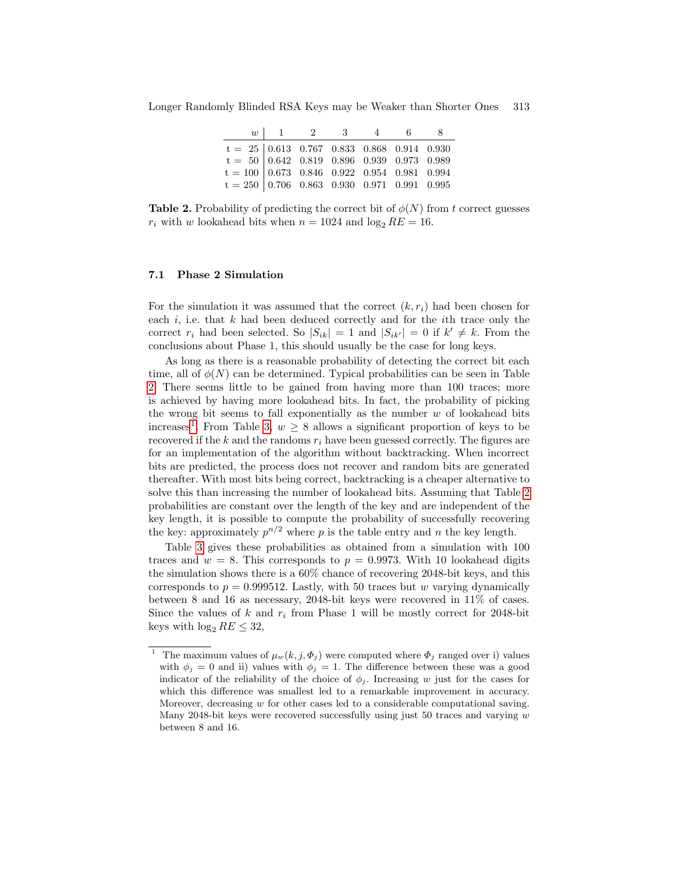Longer Randomly Blinded RSA Keys may be Weaker than Shorter Ones 313

|                                                                                                                                                                           |  | $w$   1   2   3   3   4   6   8 |  |
|---------------------------------------------------------------------------------------------------------------------------------------------------------------------------|--|---------------------------------|--|
|                                                                                                                                                                           |  |                                 |  |
| $\begin{array}{rclcc} \mathbf{t} = & 25 & 0.613 & 0.767 & 0.833 & 0.868 & 0.914 & 0.930 \\ \mathbf{t} = & 50 & 0.642 & 0.819 & 0.896 & 0.939 & 0.973 & 0.989 \end{array}$ |  |                                 |  |
| $t = 100   0.673   0.846   0.922   0.954   0.981   0.994$                                                                                                                 |  |                                 |  |
| $t = 250   0.706   0.863   0.930   0.971   0.991   0.995$                                                                                                                 |  |                                 |  |

<span id="page-10-0"></span>**Table 2.** Probability of predicting the correct bit of  $\phi(N)$  from t correct guesses  $r_i$  with w lookahead bits when  $n = 1024$  and  $\log_2 RE = 16$ .

#### 7.1 Phase 2 Simulation

For the simulation it was assumed that the correct  $(k, r_i)$  had been chosen for each  $i$ , i.e. that  $k$  had been deduced correctly and for the *i*th trace only the correct  $r_i$  had been selected. So  $|S_{ik}| = 1$  and  $|S_{ik'}| = 0$  if  $k' \neq k$ . From the conclusions about Phase 1, this should usually be the case for long keys.

As long as there is a reasonable probability of detecting the correct bit each time, all of  $\phi(N)$  can be determined. Typical probabilities can be seen in Table [2.](#page-10-0) There seems little to be gained from having more than 100 traces; more is achieved by having more lookahead bits. In fact, the probability of picking the wrong bit seems to fall exponentially as the number  $w$  of lookahead bits increases<sup>[1](#page-10-1)</sup>. From Table [3,](#page-11-0)  $w \geq 8$  allows a significant proportion of keys to be recovered if the  $k$  and the randoms  $r_i$  have been guessed correctly. The figures are for an implementation of the algorithm without backtracking. When incorrect bits are predicted, the process does not recover and random bits are generated thereafter. With most bits being correct, backtracking is a cheaper alternative to solve this than increasing the number of lookahead bits. Assuming that Table [2](#page-10-0) probabilities are constant over the length of the key and are independent of the key length, it is possible to compute the probability of successfully recovering the key: approximately  $p^{n/2}$  where p is the table entry and n the key length.

Table [3](#page-11-0) gives these probabilities as obtained from a simulation with 100 traces and  $w = 8$ . This corresponds to  $p = 0.9973$ . With 10 lookahead digits the simulation shows there is a 60% chance of recovering 2048-bit keys, and this corresponds to  $p = 0.999512$ . Lastly, with 50 traces but w varying dynamically between 8 and 16 as necessary, 2048-bit keys were recovered in 11% of cases. Since the values of  $k$  and  $r_i$  from Phase 1 will be mostly correct for 2048-bit keys with  $\log_2 RE \leq 32$ ,

<span id="page-10-1"></span>The maximum values of  $\mu_w(k, j, \Phi_j)$  were computed where  $\Phi_j$  ranged over i) values with  $\phi_j = 0$  and ii) values with  $\phi_j = 1$ . The difference between these was a good indicator of the reliability of the choice of  $\phi_j$ . Increasing w just for the cases for which this difference was smallest led to a remarkable improvement in accuracy. Moreover, decreasing  $w$  for other cases led to a considerable computational saving. Many 2048-bit keys were recovered successfully using just 50 traces and varying  $w$ between 8 and 16.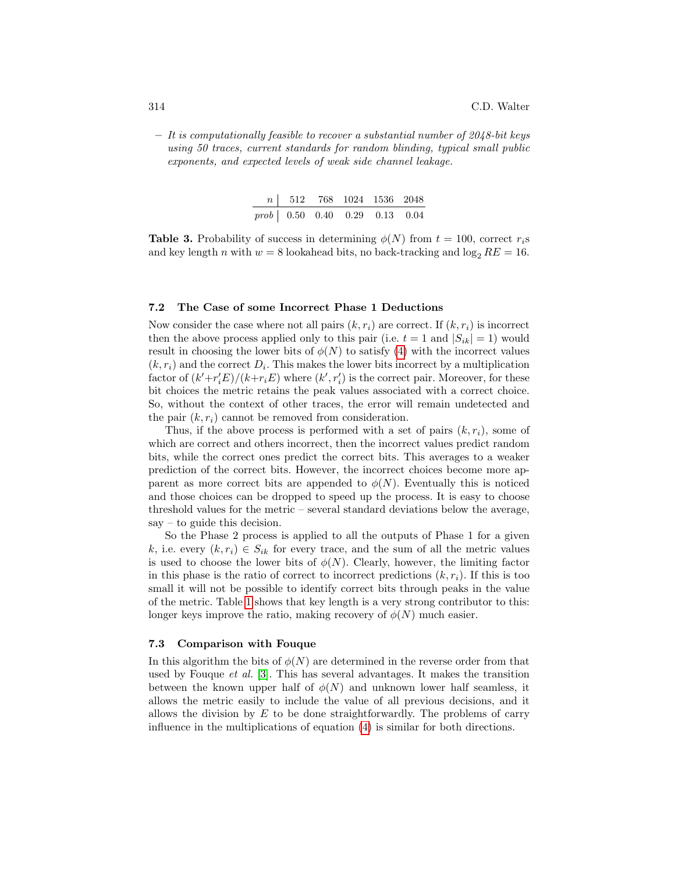– It is computationally feasible to recover a substantial number of 2048-bit keys using 50 traces, current standards for random blinding, typical small public exponents, and expected levels of weak side channel leakage.

| $n \mid 512 \quad 768 \quad 1024 \quad 1536 \quad 2048$ |  |  |
|---------------------------------------------------------|--|--|
| $prob$   0.50 0.40 0.29 0.13 0.04                       |  |  |

<span id="page-11-0"></span>**Table 3.** Probability of success in determining  $\phi(N)$  from  $t = 100$ , correct  $r_i$ s and key length n with  $w = 8$  lookahead bits, no back-tracking and  $\log_2 RE = 16$ .

#### 7.2 The Case of some Incorrect Phase 1 Deductions

Now consider the case where not all pairs  $(k, r_i)$  are correct. If  $(k, r_i)$  is incorrect then the above process applied only to this pair (i.e.  $t = 1$  and  $|S_{ik}| = 1$ ) would result in choosing the lower bits of  $\phi(N)$  to satisfy [\(4\)](#page-2-2) with the incorrect values  $(k, r_i)$  and the correct  $D_i$ . This makes the lower bits incorrect by a multiplication factor of  $(k'+r'_iE)/(k+r_iE)$  where  $(k',r'_i)$  is the correct pair. Moreover, for these bit choices the metric retains the peak values associated with a correct choice. So, without the context of other traces, the error will remain undetected and the pair  $(k, r_i)$  cannot be removed from consideration.

Thus, if the above process is performed with a set of pairs  $(k, r_i)$ , some of which are correct and others incorrect, then the incorrect values predict random bits, while the correct ones predict the correct bits. This averages to a weaker prediction of the correct bits. However, the incorrect choices become more apparent as more correct bits are appended to  $\phi(N)$ . Eventually this is noticed and those choices can be dropped to speed up the process. It is easy to choose threshold values for the metric – several standard deviations below the average, say – to guide this decision.

So the Phase 2 process is applied to all the outputs of Phase 1 for a given k, i.e. every  $(k, r_i) \in S_{ik}$  for every trace, and the sum of all the metric values is used to choose the lower bits of  $\phi(N)$ . Clearly, however, the limiting factor in this phase is the ratio of correct to incorrect predictions  $(k, r_i)$ . If this is too small it will not be possible to identify correct bits through peaks in the value of the metric. Table [1](#page-7-0) shows that key length is a very strong contributor to this: longer keys improve the ratio, making recovery of  $\phi(N)$  much easier.

#### 7.3 Comparison with Fouque

In this algorithm the bits of  $\phi(N)$  are determined in the reverse order from that used by Fouque et al. [\[3\]](#page-13-3). This has several advantages. It makes the transition between the known upper half of  $\phi(N)$  and unknown lower half seamless, it allows the metric easily to include the value of all previous decisions, and it allows the division by  $E$  to be done straightforwardly. The problems of carry influence in the multiplications of equation [\(4\)](#page-2-2) is similar for both directions.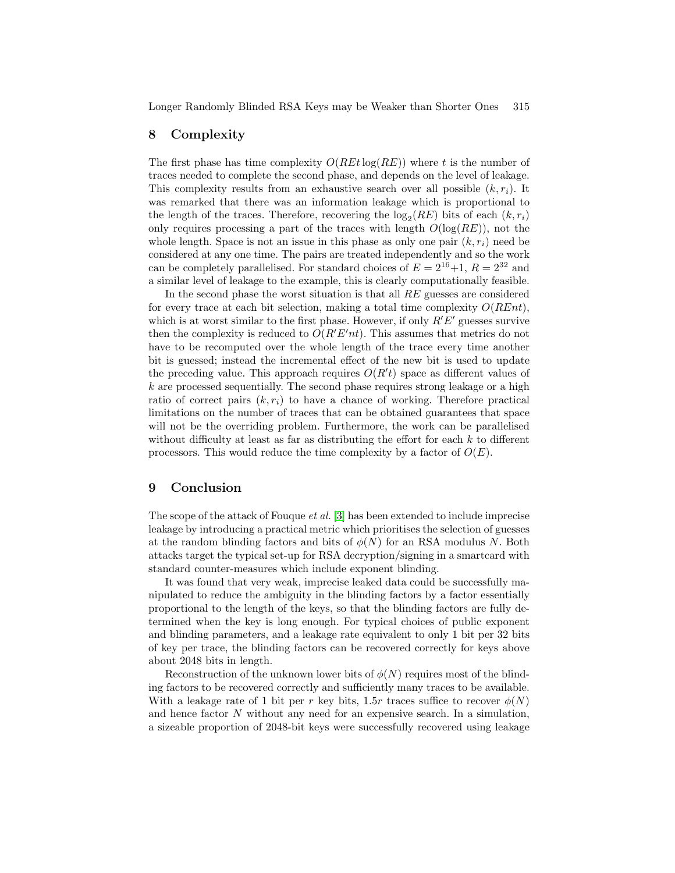Longer Randomly Blinded RSA Keys may be Weaker than Shorter Ones 315

## <span id="page-12-0"></span>8 Complexity

The first phase has time complexity  $O(REt \log(RE))$  where t is the number of traces needed to complete the second phase, and depends on the level of leakage. This complexity results from an exhaustive search over all possible  $(k, r_i)$ . It was remarked that there was an information leakage which is proportional to the length of the traces. Therefore, recovering the  $\log_2(RE)$  bits of each  $(k, r_i)$ only requires processing a part of the traces with length  $O(log(RE))$ , not the whole length. Space is not an issue in this phase as only one pair  $(k, r_i)$  need be considered at any one time. The pairs are treated independently and so the work can be completely parallelised. For standard choices of  $E = 2^{16} + 1$ ,  $R = 2^{32}$  and a similar level of leakage to the example, this is clearly computationally feasible.

In the second phase the worst situation is that all RE guesses are considered for every trace at each bit selection, making a total time complexity  $O(REnt)$ , which is at worst similar to the first phase. However, if only  $R'E'$  guesses survive then the complexity is reduced to  $O(R'E'nt)$ . This assumes that metrics do not have to be recomputed over the whole length of the trace every time another bit is guessed; instead the incremental effect of the new bit is used to update the preceding value. This approach requires  $O(R't)$  space as different values of  $k$  are processed sequentially. The second phase requires strong leakage or a high ratio of correct pairs  $(k, r_i)$  to have a chance of working. Therefore practical limitations on the number of traces that can be obtained guarantees that space will not be the overriding problem. Furthermore, the work can be parallelised without difficulty at least as far as distributing the effort for each  $k$  to different processors. This would reduce the time complexity by a factor of  $O(E)$ .

## <span id="page-12-1"></span>9 Conclusion

The scope of the attack of Fouque et al. [\[3\]](#page-13-3) has been extended to include imprecise leakage by introducing a practical metric which prioritises the selection of guesses at the random blinding factors and bits of  $\phi(N)$  for an RSA modulus N. Both attacks target the typical set-up for RSA decryption/signing in a smartcard with standard counter-measures which include exponent blinding.

It was found that very weak, imprecise leaked data could be successfully manipulated to reduce the ambiguity in the blinding factors by a factor essentially proportional to the length of the keys, so that the blinding factors are fully determined when the key is long enough. For typical choices of public exponent and blinding parameters, and a leakage rate equivalent to only 1 bit per 32 bits of key per trace, the blinding factors can be recovered correctly for keys above about 2048 bits in length.

Reconstruction of the unknown lower bits of  $\phi(N)$  requires most of the blinding factors to be recovered correctly and sufficiently many traces to be available. With a leakage rate of 1 bit per r key bits, 1.5r traces suffice to recover  $\phi(N)$ and hence factor N without any need for an expensive search. In a simulation, a sizeable proportion of 2048-bit keys were successfully recovered using leakage